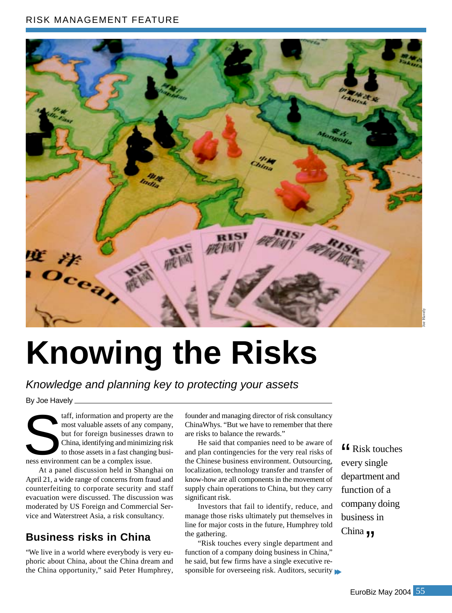### RISK MANAGEMENT FEATURE



# **Knowing the Risks**

Knowledge and planning key to protecting your assets

By Joe Havely

taff, information and property are the most valuable assets of any company, but for foreign businesses drawn to China, identifying and minimizing risk to those assets in a fast changing busitaff, information and property<br>most valuable assets of any contract of the complex issue.<br>China, identifying and minimize<br>to those assets in a fast changin<br>ness environment can be a complex issue.

At a panel discussion held in Shanghai on April 21, a wide range of concerns from fraud and counterfeiting to corporate security and staff evacuation were discussed. The discussion was moderated by US Foreign and Commercial Service and Waterstreet Asia, a risk consultancy.

# **Business risks in China**

"We live in a world where everybody is very euphoric about China, about the China dream and the China opportunity," said Peter Humphrey, founder and managing director of risk consultancy ChinaWhys. "But we have to remember that there are risks to balance the rewards."

He said that companies need to be aware of and plan contingencies for the very real risks of the Chinese business environment. Outsourcing, localization, technology transfer and transfer of know-how are all components in the movement of supply chain operations to China, but they carry significant risk.

Investors that fail to identify, reduce, and manage those risks ultimately put themselves in line for major costs in the future, Humphrey told the gathering.

"Risk touches every single department and function of a company doing business in China," he said, but few firms have a single executive responsible for overseeing risk. Auditors, security

**f** Risk touches<br>every single every single department and function of a company doing business in China  $\mathbf{y}$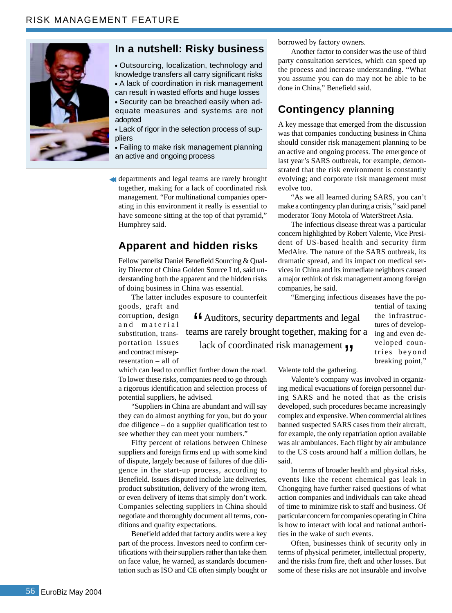

#### **In a nutshell: Risky business**

Outsourcing, localization, technology and knowledge transfers all carry significant risks A lack of coordination in risk management can result in wasted efforts and huge losses Security can be breached easily when adequate measures and systems are not adopted

Lack of rigor in the selection process of suppliers

Failing to make risk management planning an active and ongoing process

departments and legal teams are rarely brought together, making for a lack of coordinated risk management. "For multinational companies operating in this environment it really is essential to have someone sitting at the top of that pyramid," Humphrey said.

# **Apparent and hidden risks**

Fellow panelist Daniel Benefield Sourcing & Quality Director of China Golden Source Ltd, said understanding both the apparent and the hidden risks of doing business in China was essential.

The latter includes exposure to counterfeit

goods, graft and corruption, design and material substitution, transportation issues and contract misrepresentation – all of

**ff** Auditors, security departments and legal<br>ams are rarely brought together, making for teams are rarely brought together, making for a lack of coordinated risk management  $\mathbf{y}$ 

evolve too.

tential of taxing the infrastructures of developing and even developed countries beyond breaking point,"

which can lead to conflict further down the road. To lower these risks, companies need to go through a rigorous identification and selection process of potential suppliers, he advised.

"Suppliers in China are abundant and will say they can do almost anything for you, but do your due diligence – do a supplier qualification test to see whether they can meet your numbers."

Fifty percent of relations between Chinese suppliers and foreign firms end up with some kind of dispute, largely because of failures of due diligence in the start-up process, according to Benefield. Issues disputed include late deliveries, product substitution, delivery of the wrong item, or even delivery of items that simply don't work. Companies selecting suppliers in China should negotiate and thoroughly document all terms, conditions and quality expectations.

Benefield added that factory audits were a key part of the process. Investors need to confirm certifications with their suppliers rather than take them on face value, he warned, as standards documentation such as ISO and CE often simply bought or Valente told the gathering.

companies, he said.

borrowed by factory owners.

done in China," Benefield said.

**Contingency planning**

A key message that emerged from the discussion was that companies conducting business in China should consider risk management planning to be an active and ongoing process. The emergence of last year's SARS outbreak, for example, demonstrated that the risk environment is constantly evolving; and corporate risk management must

"As we all learned during SARS, you can't make a contingency plan during a crisis," said panel moderator Tony Motola of WaterStreet Asia.

The infectious disease threat was a particular concern highlighted by Robert Valente, Vice President of US-based health and security firm MedAire. The nature of the SARS outbreak, its dramatic spread, and its impact on medical services in China and its immediate neighbors caused a major rethink of risk management among foreign

"Emerging infectious diseases have the po-

Another factor to consider was the use of third party consultation services, which can speed up the process and increase understanding. "What you assume you can do may not be able to be

Valente's company was involved in organizing medical evacuations of foreign personnel during SARS and he noted that as the crisis developed, such procedures became increasingly complex and expensive. When commercial airlines banned suspected SARS cases from their aircraft, for example, the only repatriation option available was air ambulances. Each flight by air ambulance to the US costs around half a million dollars, he said.

In terms of broader health and physical risks, events like the recent chemical gas leak in Chongqing have further raised questions of what action companies and individuals can take ahead of time to minimize risk to staff and business. Of particular concern for companies operating in China is how to interact with local and national authorities in the wake of such events.

Often, businesses think of security only in terms of physical perimeter, intellectual property, and the risks from fire, theft and other losses. But some of these risks are not insurable and involve